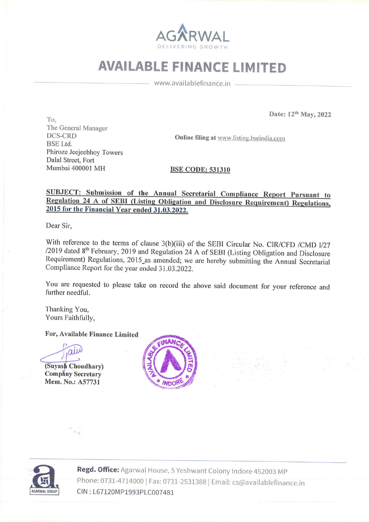

## AVAILABLE FINANCE LIMITED

www.availablefinance.in

 $\Gamma$ o,  $\Gamma$ o,  $\Gamma$ The General Manager DCS-CRD Onlinefiling at www.listing.bseindia.com BSE Ltd. Phiroze Jeejeebhoy Towers Dalal Street, Fort Mumbai 400001 MH BSE CODE: 531310

# SUBJECT: Submission of the Annual Secretarial Compliance Report Pursuant to Regulation 24 A of SEBI (Listing Obligation and Disclosure Requirement) Regulations, 2015 for the Financial Year ended 31.03.2022.

Dear Sir,

With reference to the terms of clause  $3(b)(iii)$  of the SEBI Circular No. CIR/CFD /CMD 1/27 /2019 dated  $8<sup>th</sup>$  February, 2019 and Regulation 24 A of SEBI (Listing Obligation and Disclosure Requirement) Regulations, 2015 

You are requested to please take on record the above said document for your reference and further needful.

Thanking You, Yours Faithfully,

For, Available Finance Limited

For, Available Fina<br>  $\overrightarrow{(\text{Suyash})}$ 

Company Secretary Mem. No.: A57731





al House, 5 Yeshwa<br>) | Fax: 0731-25313<br>PLC007481 Regd. Office: Agarwal House, 5 Yeshwant Colony Indore 452003 MP Phone: 0731-4714000| Fax: 0731-2531388 | Email: cs@availablefinance.in CIN : L67120MP1993PLC007481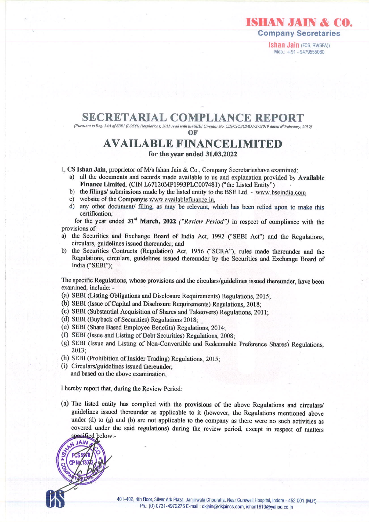

ISHAN JAIN & CO.

Ishan Jain (FCS, RV(SFA)) Mob.: +91 - 9479555060

### SECRETARIAL COMPLIANCE REPORT

(Pursuantto Reg. 24A ofSEBI (LODR) Regulations, 2015 read with the SEBI Circular No. CIR/CFD/CMD 1/27/2019 dated 8"February, 2019)

OF

### AVAILABLE FINANCELIMITED for the year ended 31.03.2022

I, CS Ishan Jain, proprietor of M/s Ishan Jain & Co., Company Secretarieshave examined:

- a) all the documents and records made available to us and explanation provided by Available Finance Limited. (CIN L67120MP1993PLC007481) ("the Listed Entity")
- b) the filings/ submissions made by the listed entity to the BSE Ltd. www.bseindia.com
- ¢) website of the Companyis www.availablefinance,in,
- d) any other document/ filing, as may be relevant, which has been relied upon to make this certification,

for the year ended 31% March, 2022 ("Review Period") in respect of compliance with the provisions of:

- a) the Securities and Exchange Board of India Act, 1992 ("SEBI Act") and the Regulations, circulars, guidelines issued thereunder; and
- b) the Securities Contracts (Regulation) Act, 1956 ("SCRA"), rules made thereunder and the Regulations, circulars, guidelines issued thereunder by the Securities and Exchange Board of India ("SEBI");

The specific Regulations, whose provisions and the circulars/guidelines issued thereunder, have been examined, include:-

- (a) SEBI(Listing Obligations and Disclosure Requirements) Regulations, 2015;
- (b) SEBI (Issue of Capital and Disclosure Requirements) Regulations, 2018;
- (c) SEBI(Substantial Acquisition of Shares and Takeovers) Regulations, 2011;
- (d) SEBI (Buyback of Securities) Regulations 2018;
- (e) SEBI (Share Based Employee Benefits) Regulations, 2014;
- (f) SEBI (Issue and Listing of Debt Securities) Regulations, 2008;
- (g) SEBI (Issue and Listing of Non-Convertible and Redeemable Preference Shares) Regulations, 2013;
- (h) SEBI(Prohibition of Insider Trading) Regulations, 2015;
- (i) Circulars/guidelines issued thereunder, and based on the above examination,

<sup>I</sup> hereby report that, during the Review Period:

(a) The listed entity has complied with the provisions of the above Regulations and circulars/<br>guidelines issued thereunder as applicable to it (however, the Regulations mentioned above<br>under (d) to (g) and (b) are not ap